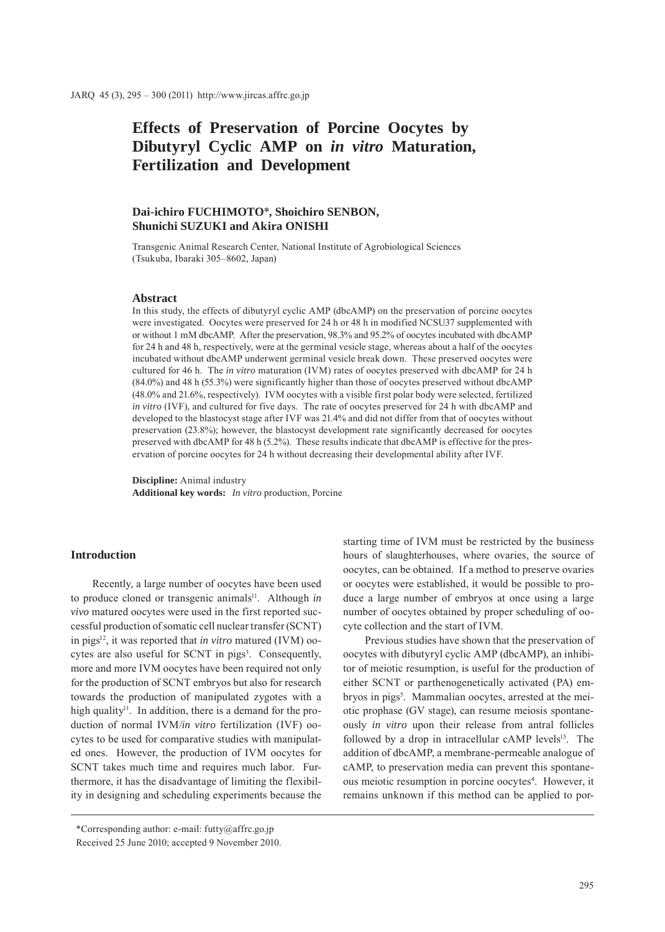# **Effects of Preservation of Porcine Oocytes by Dibutyryl Cyclic AMP on** *in vitro* **Maturation, Fertilization and Development**

# **Dai-ichiro FUCHIMOTO**\***, Shoichiro SENBON, Shunichi SUZUKI and Akira ONISHI**

Transgenic Animal Research Center, National Institute of Agrobiological Sciences (Tsukuba, Ibaraki 305–8602, Japan)

### **Abstract**

In this study, the effects of dibutyryl cyclic AMP (dbcAMP) on the preservation of porcine oocytes were investigated. Oocytes were preserved for 24 h or 48 h in modified NCSU37 supplemented with or without 1 mM dbcAMP. After the preservation, 98.3% and 95.2% of oocytes incubated with dbcAMP for 24 h and 48 h, respectively, were at the germinal vesicle stage, whereas about a half of the oocytes incubated without dbcAMP underwent germinal vesicle break down. These preserved oocytes were cultured for 46 h. The *in vitro* maturation (IVM) rates of oocytes preserved with dbcAMP for 24 h (84.0%) and 48 h (55.3%) were significantly higher than those of oocytes preserved without dbcAMP (48.0% and 21.6%, respectively). IVM oocytes with a visible first polar body were selected, fertilized *in vitro* (IVF), and cultured for five days. The rate of oocytes preserved for 24 h with dbcAMP and developed to the blastocyst stage after IVF was 21.4% and did not differ from that of oocytes without preservation (23.8%); however, the blastocyst development rate significantly decreased for oocytes preserved with dbcAMP for 48 h (5.2%). These results indicate that dbcAMP is effective for the preservation of porcine oocytes for 24 h without decreasing their developmental ability after IVF.

**Discipline:** Animal industry **Additional key words:** *In vitro* production, Porcine

### **Introduction**

Recently, a large number of oocytes have been used to produce cloned or transgenic animals<sup>11</sup>. Although *in vivo* matured oocytes were used in the first reported successful production of somatic cell nuclear transfer (SCNT) in pigs12, it was reported that *in vitro* matured (IVM) oocytes are also useful for SCNT in pigs<sup>3</sup>. Consequently, more and more IVM oocytes have been required not only for the production of SCNT embryos but also for research towards the production of manipulated zygotes with a high quality $\mathbf{I}^{\text{1}}$ . In addition, there is a demand for the production of normal IVM/*in vitro* fertilization (IVF) oocytes to be used for comparative studies with manipulated ones. However, the production of IVM oocytes for SCNT takes much time and requires much labor. Furthermore, it has the disadvantage of limiting the flexibility in designing and scheduling experiments because the

starting time of IVM must be restricted by the business hours of slaughterhouses, where ovaries, the source of oocytes, can be obtained. If a method to preserve ovaries or oocytes were established, it would be possible to produce a large number of embryos at once using a large number of oocytes obtained by proper scheduling of oocyte collection and the start of IVM.

Previous studies have shown that the preservation of oocytes with dibutyryl cyclic AMP (dbcAMP), an inhibitor of meiotic resumption, is useful for the production of either SCNT or parthenogenetically activated (PA) embryos in pigs<sup>5</sup>. Mammalian oocytes, arrested at the meiotic prophase (GV stage), can resume meiosis spontaneously *in vitro* upon their release from antral follicles followed by a drop in intracellular cAMP levels<sup>15</sup>. The addition of dbcAMP, a membrane-permeable analogue of cAMP, to preservation media can prevent this spontaneous meiotic resumption in porcine oocytes<sup>4</sup>. However, it remains unknown if this method can be applied to por-

<sup>\*</sup>Corresponding author: e-mail: futty@affrc.go.jp Received 25 June 2010; accepted 9 November 2010.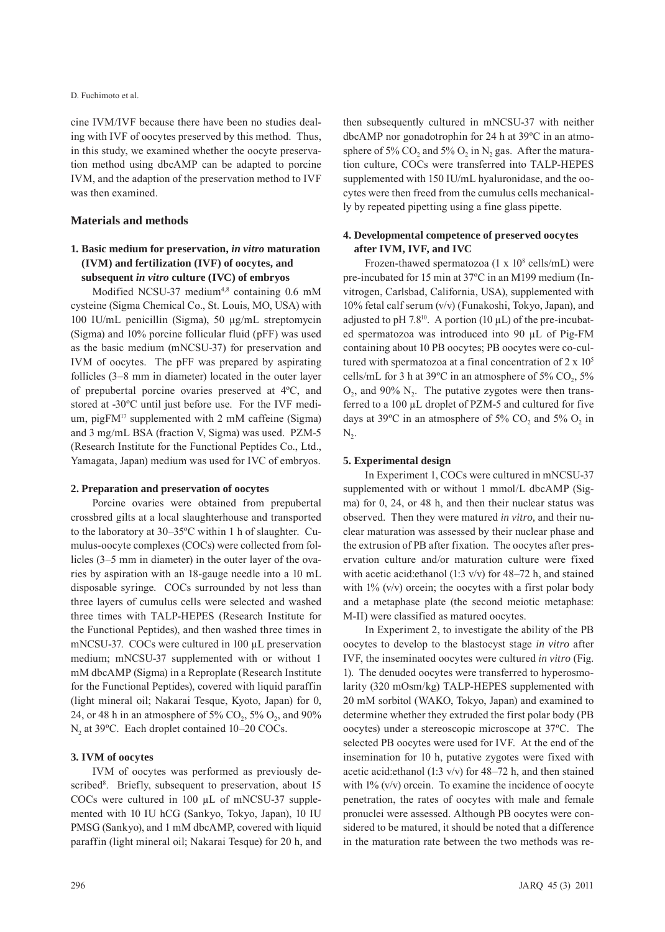cine IVM/IVF because there have been no studies dealing with IVF of oocytes preserved by this method. Thus, in this study, we examined whether the oocyte preservation method using dbcAMP can be adapted to porcine IVM, and the adaption of the preservation method to IVF was then examined.

## **Materials and methods**

# **1. Basic medium for preservation,** *in vitro* **maturation (IVM) and fertilization (IVF) of oocytes, and subsequent** *in vitro* **culture (IVC) of embryos**

Modified NCSU-37 medium<sup>4,8</sup> containing 0.6 mM cysteine (Sigma Chemical Co., St. Louis, MO, USA) with 100 IU/mL penicillin (Sigma), 50 μg/mL streptomycin (Sigma) and 10% porcine follicular fluid (pFF) was used as the basic medium (mNCSU-37) for preservation and IVM of oocytes. The pFF was prepared by aspirating follicles (3–8 mm in diameter) located in the outer layer of prepubertal porcine ovaries preserved at 4ºC, and stored at -30ºC until just before use. For the IVF medium, pigFM17 supplemented with 2 mM caffeine (Sigma) and 3 mg/mL BSA (fraction V, Sigma) was used. PZM-5 (Research Institute for the Functional Peptides Co., Ltd., Yamagata, Japan) medium was used for IVC of embryos.

### **2. Preparation and preservation of oocytes**

Porcine ovaries were obtained from prepubertal crossbred gilts at a local slaughterhouse and transported to the laboratory at 30–35ºC within 1 h of slaughter. Cumulus-oocyte complexes (COCs) were collected from follicles (3–5 mm in diameter) in the outer layer of the ovaries by aspiration with an 18-gauge needle into a 10 mL disposable syringe. COCs surrounded by not less than three layers of cumulus cells were selected and washed three times with TALP-HEPES (Research Institute for the Functional Peptides), and then washed three times in mNCSU-37. COCs were cultured in 100 μL preservation medium; mNCSU-37 supplemented with or without 1 mM dbcAMP (Sigma) in a Reproplate (Research Institute for the Functional Peptides), covered with liquid paraffin (light mineral oil; Nakarai Tesque, Kyoto, Japan) for 0, 24, or 48 h in an atmosphere of 5% CO<sub>2</sub>, 5% O<sub>2</sub>, and 90% N<sub>2</sub> at 39°C. Each droplet contained 10–20 COCs.

### **3. IVM of oocytes**

IVM of oocytes was performed as previously described<sup>8</sup>. Briefly, subsequent to preservation, about 15 COCs were cultured in 100 μL of mNCSU-37 supplemented with 10 IU hCG (Sankyo, Tokyo, Japan), 10 IU PMSG (Sankyo), and 1 mM dbcAMP, covered with liquid paraffin (light mineral oil; Nakarai Tesque) for 20 h, and

then subsequently cultured in mNCSU-37 with neither dbcAMP nor gonadotrophin for 24 h at 39ºC in an atmosphere of 5% CO<sub>2</sub> and 5% O<sub>2</sub> in N<sub>2</sub> gas. After the maturation culture, COCs were transferred into TALP-HEPES supplemented with 150 IU/mL hyaluronidase, and the oocytes were then freed from the cumulus cells mechanically by repeated pipetting using a fine glass pipette.

## **4. Developmental competence of preserved oocytes after IVM, IVF, and IVC**

Frozen-thawed spermatozoa  $(1 \times 10^8 \text{ cells/mL})$  were pre-incubated for 15 min at 37ºC in an M199 medium (Invitrogen, Carlsbad, California, USA), supplemented with 10% fetal calf serum (v/v) (Funakoshi, Tokyo, Japan), and adjusted to pH 7.8<sup>10</sup>. A portion (10  $\mu$ L) of the pre-incubated spermatozoa was introduced into 90 μL of Pig-FM containing about 10 PB oocytes; PB oocytes were co-cultured with spermatozoa at a final concentration of  $2 \times 10^5$ cells/mL for 3 h at  $39^{\circ}$ C in an atmosphere of  $5\%$  CO<sub>2</sub>,  $5\%$  $O<sub>2</sub>$ , and 90% N<sub>2</sub>. The putative zygotes were then transferred to a 100 μL droplet of PZM-5 and cultured for five days at  $39^{\circ}$ C in an atmosphere of  $5\%$  CO<sub>2</sub> and  $5\%$  O<sub>2</sub> in  $N_{2}$ .

### **5. Experimental design**

In Experiment 1, COCs were cultured in mNCSU-37 supplemented with or without 1 mmol/L dbcAMP (Sigma) for 0, 24, or 48 h, and then their nuclear status was observed. Then they were matured *in vitro,* and their nuclear maturation was assessed by their nuclear phase and the extrusion of PB after fixation. The oocytes after preservation culture and/or maturation culture were fixed with acetic acid:ethanol (1:3 v/v) for 48–72 h, and stained with  $1\%$  (v/v) orcein; the oocytes with a first polar body and a metaphase plate (the second meiotic metaphase: M-II) were classified as matured oocytes.

In Experiment 2, to investigate the ability of the PB oocytes to develop to the blastocyst stage *in vitro* after IVF, the inseminated oocytes were cultured *in vitro* (Fig. 1). The denuded oocytes were transferred to hyperosmolarity (320 mOsm/kg) TALP-HEPES supplemented with 20 mM sorbitol (WAKO, Tokyo, Japan) and examined to determine whether they extruded the first polar body (PB oocytes) under a stereoscopic microscope at 37ºC. The selected PB oocytes were used for IVF. At the end of the insemination for 10 h, putative zygotes were fixed with acetic acid:ethanol (1:3 v/v) for 48–72 h, and then stained with  $1\%$  (v/v) orcein. To examine the incidence of oocyte penetration, the rates of oocytes with male and female pronuclei were assessed. Although PB oocytes were considered to be matured, it should be noted that a difference in the maturation rate between the two methods was re-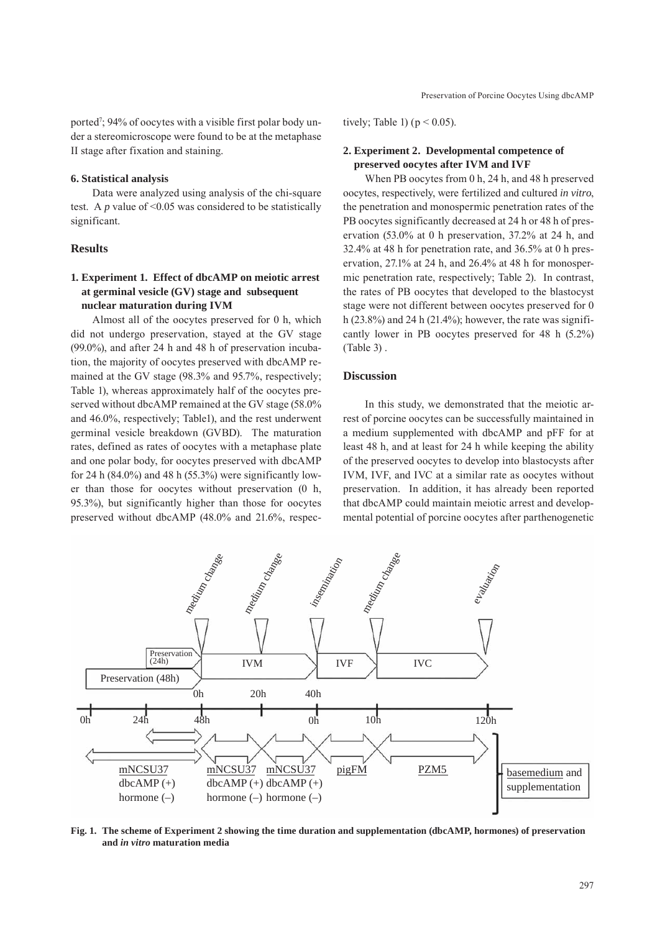Preservation of Porcine Oocytes Using dbcAMP

ported<sup>7</sup>; 94% of oocytes with a visible first polar body under a stereomicroscope were found to be at the metaphase II stage after fixation and staining.

### **6. Statistical analysis**

Data were analyzed using analysis of the chi-square test. A  $p$  value of <0.05 was considered to be statistically significant.

# **Results**

# **1. Experiment 1. Effect of dbcAMP on meiotic arrest at germinal vesicle (GV) stage and subsequent nuclear maturation during IVM**

Almost all of the oocytes preserved for 0 h, which did not undergo preservation, stayed at the GV stage (99.0%), and after 24 h and 48 h of preservation incubation, the majority of oocytes preserved with dbcAMP remained at the GV stage (98.3% and 95.7%, respectively; Table 1), whereas approximately half of the oocytes preserved without dbcAMP remained at the GV stage (58.0% and 46.0%, respectively; Table1), and the rest underwent germinal vesicle breakdown (GVBD). The maturation rates, defined as rates of oocytes with a metaphase plate and one polar body, for oocytes preserved with dbcAMP for 24 h  $(84.0\%)$  and 48 h  $(55.3\%)$  were significantly lower than those for oocytes without preservation (0 h, 95.3%), but significantly higher than those for oocytes preserved without dbcAMP (48.0% and 21.6%, respec-



# **2. Experiment 2. Developmental competence of preserved oocytes after IVM and IVF**

When PB oocytes from 0 h, 24 h, and 48 h preserved oocytes, respectively, were fertilized and cultured *in vitro*, the penetration and monospermic penetration rates of the PB oocytes significantly decreased at 24 h or 48 h of preservation (53.0% at 0 h preservation, 37.2% at 24 h, and 32.4% at 48 h for penetration rate, and 36.5% at 0 h preservation, 27.1% at 24 h, and 26.4% at 48 h for monospermic penetration rate, respectively; Table 2). In contrast, the rates of PB oocytes that developed to the blastocyst stage were not different between oocytes preserved for 0 h (23.8%) and 24 h (21.4%); however, the rate was significantly lower in PB oocytes preserved for 48 h (5.2%) (Table 3) .

### **Discussion**

In this study, we demonstrated that the meiotic arrest of porcine oocytes can be successfully maintained in a medium supplemented with dbcAMP and pFF for at least 48 h, and at least for 24 h while keeping the ability of the preserved oocytes to develop into blastocysts after IVM, IVF, and IVC at a similar rate as oocytes without preservation. In addition, it has already been reported that dbcAMP could maintain meiotic arrest and developmental potential of porcine oocytes after parthenogenetic



**Fig. 1. The scheme of Experiment 2 showing the time duration and supplementation (dbcAMP, hormones) of preservation and** *in vitro* **maturation media**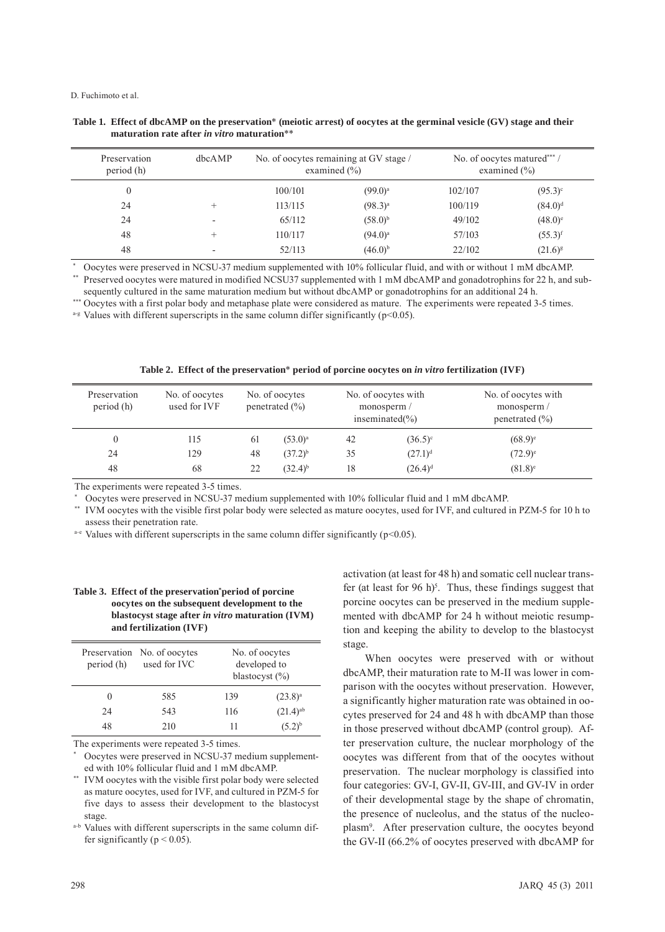#### D. Fuchimoto et al.

| Preservation<br>period (h) | dbcAMP                   | No. of oocytes remaining at GV stage /<br>examined $(\% )$ |                       | No. of oocytes matured***/<br>examined $(\% )$ |              |  |
|----------------------------|--------------------------|------------------------------------------------------------|-----------------------|------------------------------------------------|--------------|--|
| $\theta$                   |                          | 100/101                                                    | $(99.0)^{a}$          | 102/107                                        | $(95.3)^c$   |  |
| 24                         | $^+$                     | 113/115                                                    | $(98.3)$ <sup>a</sup> | 100/119                                        | $(84.0)^d$   |  |
| 24                         | $\overline{\phantom{0}}$ | 65/112                                                     | $(58.0)^{b}$          | 49/102                                         | $(48.0)^e$   |  |
| 48                         | $^+$                     | 110/117                                                    | $(94.0)^{a}$          | 57/103                                         | $(55.3)^{f}$ |  |
| 48                         | $\overline{a}$           | 52/113                                                     | $(46.0)^{b}$          | 22/102                                         | $(21.6)^{8}$ |  |

### **Table 1. Effect of dbcAMP on the preservation**\* **(meiotic arrest) of oocytes at the germinal vesicle (GV) stage and their maturation rate after** *in vitro* **maturation**\*\*

\* Oocytes were preserved in NCSU-37 medium supplemented with 10% follicular fluid, and with or without 1 mM dbcAMP. \*\* Preserved oocytes were matured in modified NCSU37 supplemented with 1 mM dbcAMP and gonadotrophins for 22 h, and sub-

sequently cultured in the same maturation medium but without dbcAMP or gonadotrophins for an additional 24 h. \*\*\* Oocytes with a first polar body and metaphase plate were considered as mature. The experiments were repeated 3-5 times.

 $a-g$  Values with different superscripts in the same column differ significantly ( $p<0.05$ ).

|  | Table 2. Effect of the preservation* period of porcine oocytes on in vitro fertilization (IVF) |  |  |  |  |
|--|------------------------------------------------------------------------------------------------|--|--|--|--|
|  |                                                                                                |  |  |  |  |

| Preservation<br>period (h) | No. of oocytes<br>used for IVF |    | No. of oocytes<br>penetrated $(\% )$ |    | No. of oocytes with<br>monosperm/<br>inseminated $(\% )$ | No. of oocytes with<br>monosperm /<br>penetrated $(\% )$ |
|----------------------------|--------------------------------|----|--------------------------------------|----|----------------------------------------------------------|----------------------------------------------------------|
| $\theta$                   | 115                            | 61 | $(53.0)^{a}$                         | 42 | $(36.5)^{\circ}$                                         | $(68.9)^e$                                               |
| 24                         | 129                            | 48 | $(37.2)^{b}$                         | 35 | $(27.1)^d$                                               | $(72.9)^e$                                               |
| 48                         | 68                             | 22 | $(32.4)^{b}$                         | 18 | $(26.4)^d$                                               | $(81.8)^e$                                               |

The experiments were repeated 3-5 times.

\* Oocytes were preserved in NCSU-37 medium supplemented with 10% follicular fluid and 1 mM dbcAMP.

\*\* IVM oocytes with the visible first polar body were selected as mature oocytes, used for IVF, and cultured in PZM-5 for 10 h to assess their penetration rate.

<sup>a-e</sup> Values with different superscripts in the same column differ significantly ( $p$ <0.05).

### **Table 3. Effect of the preservation\* period of porcine oocytes on the subsequent development to the blastocyst stage after** *in vitro* **maturation (IVM) and fertilization (IVF)**

| period (h) | Preservation No. of oocytes<br>used for IVC | No. of oocytes<br>developed to<br>blastocyst $(\%)$ |                        |  |  |
|------------|---------------------------------------------|-----------------------------------------------------|------------------------|--|--|
| $^{(1)}$   | 585                                         | 139                                                 | $(23.8)^{a}$           |  |  |
| 24         | 543                                         | 116                                                 | $(21.4)$ <sup>ab</sup> |  |  |
| 48         | 210                                         | 11                                                  | $(5.2)^{b}$            |  |  |

The experiments were repeated 3-5 times.

activation (at least for 48 h) and somatic cell nuclear transfer (at least for 96 h)<sup>5</sup>. Thus, these findings suggest that porcine oocytes can be preserved in the medium supplemented with dbcAMP for 24 h without meiotic resumption and keeping the ability to develop to the blastocyst stage.

When oocytes were preserved with or without dbcAMP, their maturation rate to M-II was lower in comparison with the oocytes without preservation. However, a significantly higher maturation rate was obtained in oocytes preserved for 24 and 48 h with dbcAMP than those in those preserved without dbcAMP (control group). After preservation culture, the nuclear morphology of the oocytes was different from that of the oocytes without preservation. The nuclear morphology is classified into four categories: GV-I, GV-II, GV-III, and GV-IV in order of their developmental stage by the shape of chromatin, the presence of nucleolus, and the status of the nucleoplasm9 . After preservation culture, the oocytes beyond the GV-II (66.2% of oocytes preserved with dbcAMP for

<sup>\*</sup> Oocytes were preserved in NCSU-37 medium supplement-

ed with 10% follicular fluid and 1 mM dbcAMP. \*\* IVM oocytes with the visible first polar body were selected as mature oocytes, used for IVF, and cultured in PZM-5 for five days to assess their development to the blastocyst stage.

a-b Values with different superscripts in the same column differ significantly ( $p < 0.05$ ).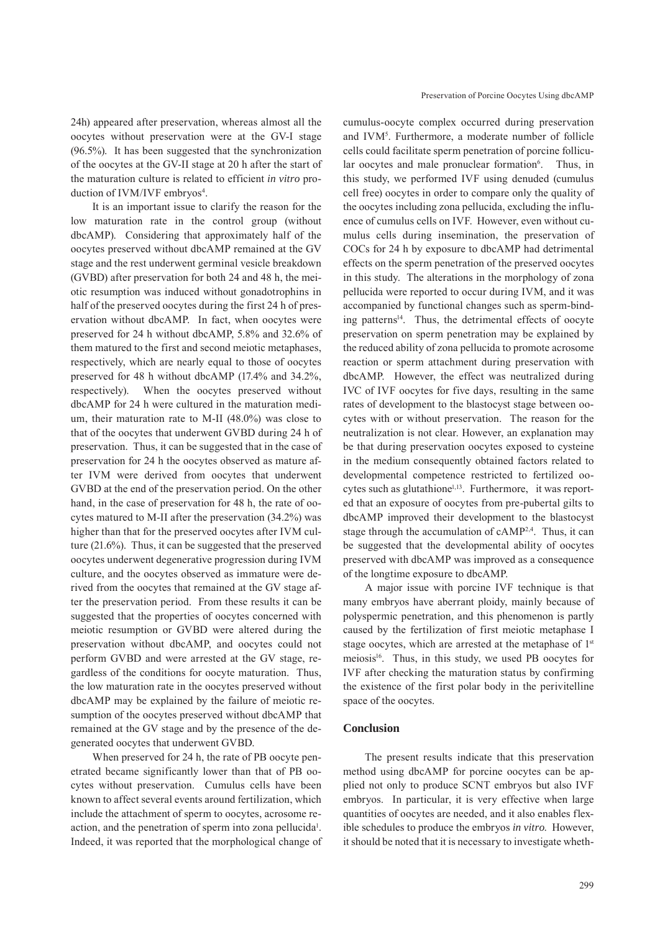24h) appeared after preservation, whereas almost all the oocytes without preservation were at the GV-I stage (96.5%). It has been suggested that the synchronization of the oocytes at the GV-II stage at 20 h after the start of the maturation culture is related to efficient *in vitro* production of IVM/IVF embryos<sup>4</sup>.

It is an important issue to clarify the reason for the low maturation rate in the control group (without dbcAMP). Considering that approximately half of the oocytes preserved without dbcAMP remained at the GV stage and the rest underwent germinal vesicle breakdown (GVBD) after preservation for both 24 and 48 h, the meiotic resumption was induced without gonadotrophins in half of the preserved oocytes during the first 24 h of preservation without dbcAMP. In fact, when oocytes were preserved for 24 h without dbcAMP, 5.8% and 32.6% of them matured to the first and second meiotic metaphases, respectively, which are nearly equal to those of oocytes preserved for 48 h without dbcAMP (17.4% and 34.2%, respectively). When the oocytes preserved without dbcAMP for 24 h were cultured in the maturation medium, their maturation rate to M-II (48.0%) was close to that of the oocytes that underwent GVBD during 24 h of preservation. Thus, it can be suggested that in the case of preservation for 24 h the oocytes observed as mature after IVM were derived from oocytes that underwent GVBD at the end of the preservation period. On the other hand, in the case of preservation for 48 h, the rate of oocytes matured to M-II after the preservation (34.2%) was higher than that for the preserved oocytes after IVM culture (21.6%). Thus, it can be suggested that the preserved oocytes underwent degenerative progression during IVM culture, and the oocytes observed as immature were derived from the oocytes that remained at the GV stage after the preservation period. From these results it can be suggested that the properties of oocytes concerned with meiotic resumption or GVBD were altered during the preservation without dbcAMP, and oocytes could not perform GVBD and were arrested at the GV stage, regardless of the conditions for oocyte maturation. Thus, the low maturation rate in the oocytes preserved without dbcAMP may be explained by the failure of meiotic resumption of the oocytes preserved without dbcAMP that remained at the GV stage and by the presence of the degenerated oocytes that underwent GVBD.

When preserved for 24 h, the rate of PB oocyte penetrated became significantly lower than that of PB oocytes without preservation. Cumulus cells have been known to affect several events around fertilization, which include the attachment of sperm to oocytes, acrosome reaction, and the penetration of sperm into zona pellucida<sup>1</sup>. Indeed, it was reported that the morphological change of cumulus-oocyte complex occurred during preservation and IVM<sup>5</sup>. Furthermore, a moderate number of follicle cells could facilitate sperm penetration of porcine follicular oocytes and male pronuclear formation<sup>6</sup>. Thus, in this study, we performed IVF using denuded (cumulus cell free) oocytes in order to compare only the quality of the oocytes including zona pellucida, excluding the influence of cumulus cells on IVF. However, even without cumulus cells during insemination, the preservation of COCs for 24 h by exposure to dbcAMP had detrimental effects on the sperm penetration of the preserved oocytes in this study. The alterations in the morphology of zona pellucida were reported to occur during IVM, and it was accompanied by functional changes such as sperm-binding patterns<sup>14</sup>. Thus, the detrimental effects of oocyte preservation on sperm penetration may be explained by the reduced ability of zona pellucida to promote acrosome reaction or sperm attachment during preservation with dbcAMP. However, the effect was neutralized during IVC of IVF oocytes for five days, resulting in the same rates of development to the blastocyst stage between oocytes with or without preservation. The reason for the neutralization is not clear. However, an explanation may be that during preservation oocytes exposed to cysteine in the medium consequently obtained factors related to developmental competence restricted to fertilized oocytes such as glutathione<sup>1,13</sup>. Furthermore, it was reported that an exposure of oocytes from pre-pubertal gilts to dbcAMP improved their development to the blastocyst stage through the accumulation of cAMP<sup>2,4</sup>. Thus, it can be suggested that the developmental ability of oocytes preserved with dbcAMP was improved as a consequence of the longtime exposure to dbcAMP.

A major issue with porcine IVF technique is that many embryos have aberrant ploidy, mainly because of polyspermic penetration, and this phenomenon is partly caused by the fertilization of first meiotic metaphase I stage oocytes, which are arrested at the metaphase of 1<sup>st</sup> meiosis<sup>16</sup>. Thus, in this study, we used PB oocytes for IVF after checking the maturation status by confirming the existence of the first polar body in the perivitelline space of the oocytes.

#### **Conclusion**

The present results indicate that this preservation method using dbcAMP for porcine oocytes can be applied not only to produce SCNT embryos but also IVF embryos. In particular, it is very effective when large quantities of oocytes are needed, and it also enables flexible schedules to produce the embryos *in vitro*. However, it should be noted that it is necessary to investigate wheth-